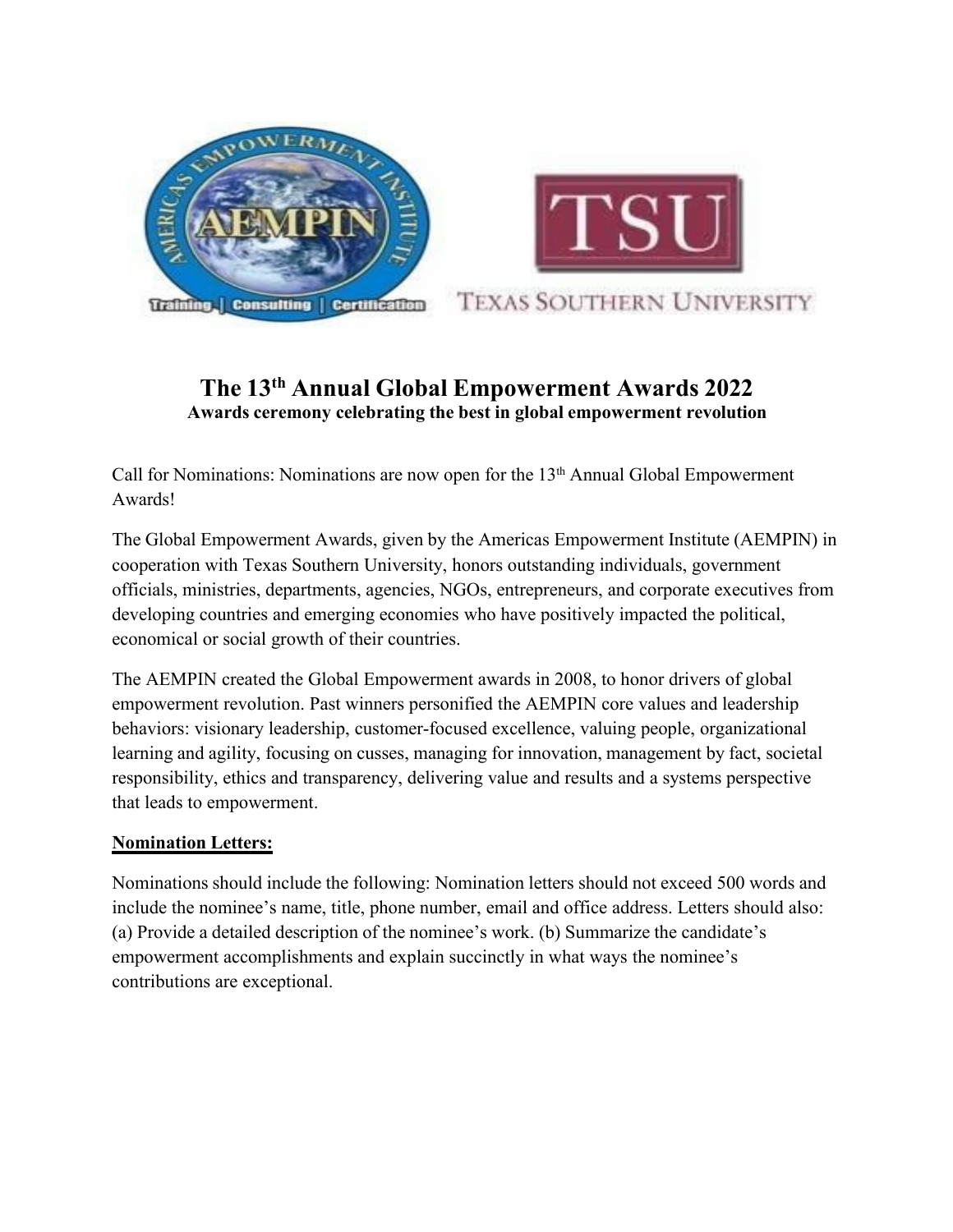

## **The 13 th Annual Global Empowerment Awards 2022 Awards ceremony celebrating the best in global empowerment revolution**

Call for Nominations: Nominations are now open for the 13<sup>th</sup> Annual Global Empowerment Awards!

The Global Empowerment Awards, given by the Americas Empowerment Institute (AEMPIN) in cooperation with Texas Southern University, honors outstanding individuals, government officials, ministries, departments, agencies, NGOs, entrepreneurs, and corporate executives from developing countries and emerging economies who have positively impacted the political, economical or social growth of their countries.

The AEMPIN created the Global Empowerment awards in 2008, to honor drivers of global empowerment revolution. Past winners personified the AEMPIN core values and leadership behaviors: visionary leadership, customer-focused excellence, valuing people, organizational learning and agility, focusing on cusses, managing for innovation, management by fact, societal responsibility, ethics and transparency, delivering value and results and a systems perspective that leads to empowerment.

## **Nomination Letters:**

Nominations should include the following: Nomination letters should not exceed 500 words and include the nominee's name, title, phone number, email and office address. Letters should also: (a) Provide a detailed description of the nominee's work. (b) Summarize the candidate's empowerment accomplishments and explain succinctly in what ways the nominee's contributions are exceptional.